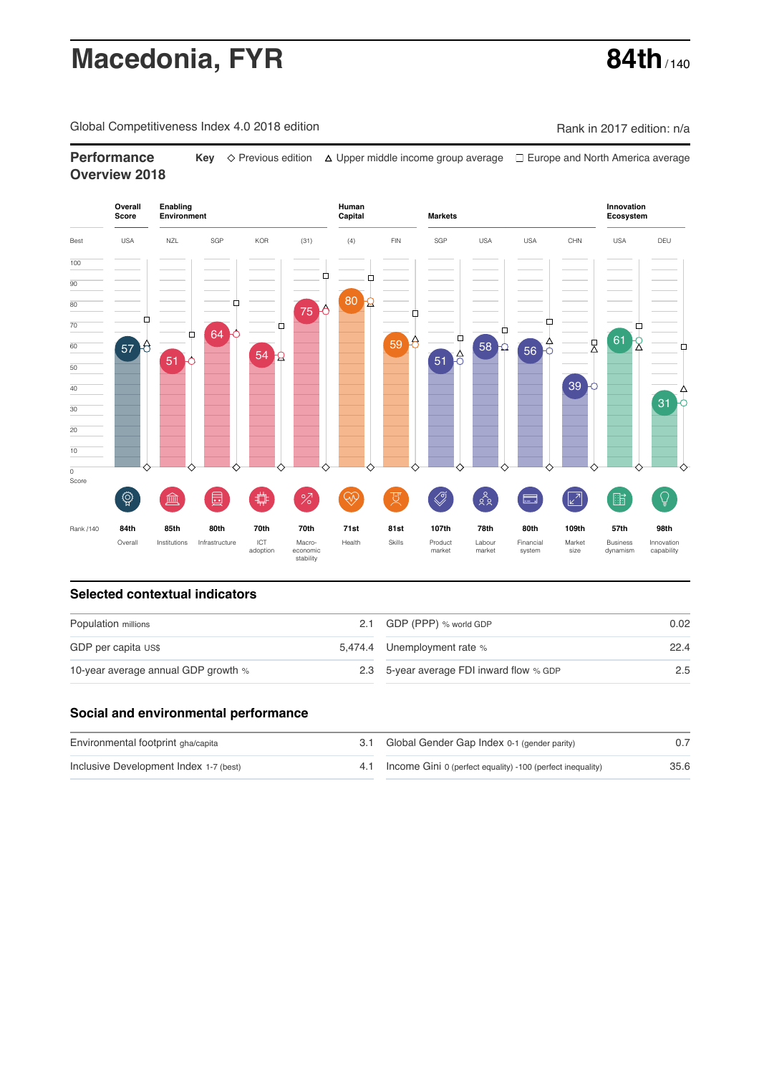# **Macedonia, FYR 84th** / 140

Global Competitiveness Index 4.0 2018 edition Company Company Rank in 2017 edition: n/a

**Performance Key**  $\Diamond$  Previous edition △ Upper middle income group average □ Europe and North America average **Overview 2018**



### **Selected contextual indicators**

| Population millions                 |  | 2.1 GDP (PPP) % world GDP                | 0.02 |
|-------------------------------------|--|------------------------------------------|------|
| GDP per capita US\$                 |  | 5,474.4 Unemployment rate %              | 22.4 |
| 10-year average annual GDP growth % |  | 2.3 5-year average FDI inward flow % GDP | 2.5  |

### **Social and environmental performance**

| Environmental footprint gha/capita     | 3.1 Global Gender Gap Index 0-1 (gender parity)            |      |
|----------------------------------------|------------------------------------------------------------|------|
| Inclusive Development Index 1-7 (best) | Income Gini 0 (perfect equality) -100 (perfect inequality) | 35.6 |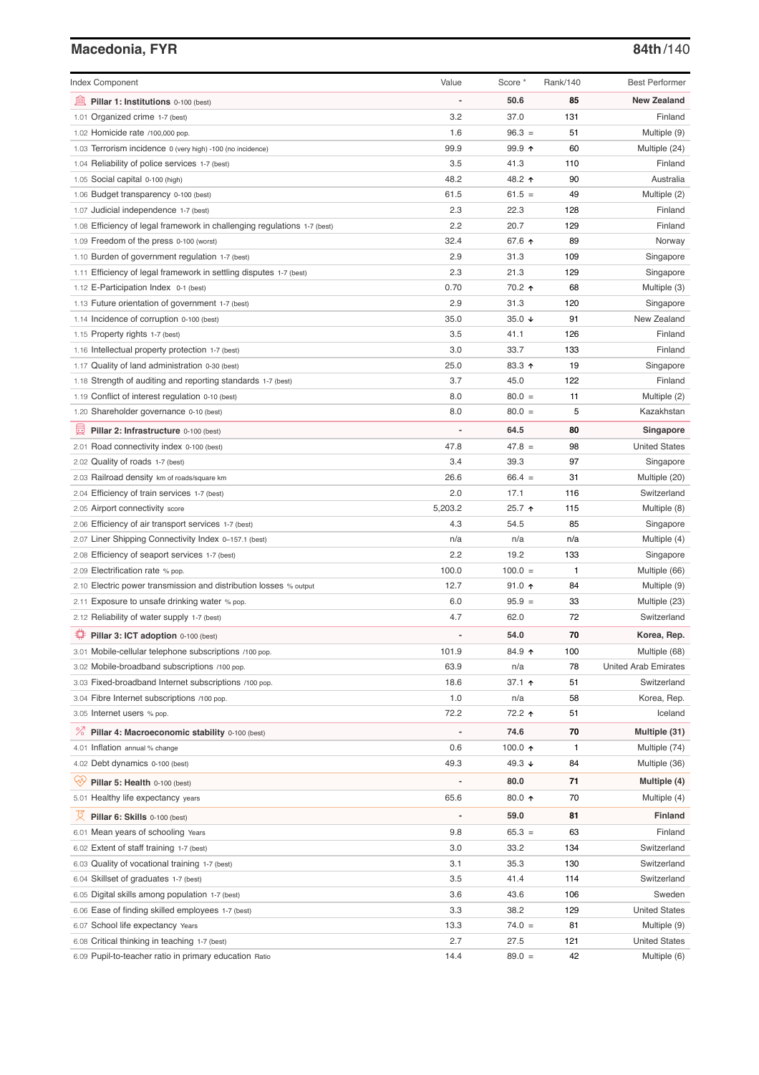# **Macedonia, FYR 84th**/140

| <b>Index Component</b>                                                   | Value          | Score *          | Rank/140 | <b>Best Performer</b>       |
|--------------------------------------------------------------------------|----------------|------------------|----------|-----------------------------|
| 寙<br>Pillar 1: Institutions 0-100 (best)                                 |                | 50.6             | 85       | <b>New Zealand</b>          |
| 1.01 Organized crime 1-7 (best)                                          | 3.2            | 37.0             | 131      | Finland                     |
| 1.02 Homicide rate /100,000 pop.                                         | 1.6            | $96.3 =$         | 51       | Multiple (9)                |
| 1.03 Terrorism incidence 0 (very high) -100 (no incidence)               | 99.9           | 99.9 ↑           | 60       | Multiple (24)               |
| 1.04 Reliability of police services 1-7 (best)                           | 3.5            | 41.3             | 110      | Finland                     |
| 1.05 Social capital 0-100 (high)                                         | 48.2           | 48.2 ↑           | 90       | Australia                   |
| 1.06 Budget transparency 0-100 (best)                                    | 61.5           | $61.5 =$         | 49       | Multiple (2)                |
| 1.07 Judicial independence 1-7 (best)                                    | 2.3            | 22.3             | 128      | Finland                     |
| 1.08 Efficiency of legal framework in challenging regulations 1-7 (best) | 2.2            | 20.7             | 129      | Finland                     |
| 1.09 Freedom of the press 0-100 (worst)                                  | 32.4           | 67.6 ↑           | 89       | Norway                      |
| 1.10 Burden of government regulation 1-7 (best)                          | 2.9            | 31.3             | 109      | Singapore                   |
| 1.11 Efficiency of legal framework in settling disputes 1-7 (best)       | 2.3            | 21.3             | 129      | Singapore                   |
| 1.12 E-Participation Index 0-1 (best)                                    | 0.70           | 70.2 ↑           | 68       | Multiple (3)                |
| 1.13 Future orientation of government 1-7 (best)                         | 2.9            | 31.3             | 120      | Singapore                   |
| 1.14 Incidence of corruption 0-100 (best)                                | 35.0           | 35.0 $\sqrt{ }$  | 91       | New Zealand                 |
| 1.15 Property rights 1-7 (best)                                          | 3.5            | 41.1             | 126      | Finland                     |
| 1.16 Intellectual property protection 1-7 (best)                         | 3.0            | 33.7             | 133      | Finland                     |
| 1.17 Quality of land administration 0-30 (best)                          | 25.0           | 83.3 ↑           | 19       | Singapore                   |
| 1.18 Strength of auditing and reporting standards 1-7 (best)             | 3.7            | 45.0             | 122      | Finland                     |
| 1.19 Conflict of interest regulation 0-10 (best)                         | 8.0            | $80.0 =$         | 11       | Multiple (2)                |
| 1.20 Shareholder governance 0-10 (best)                                  | 8.0            | $80.0 =$         | 5        | Kazakhstan                  |
| 圓<br>Pillar 2: Infrastructure 0-100 (best)                               |                | 64.5             | 80       | Singapore                   |
| 2.01 Road connectivity index 0-100 (best)                                | 47.8           | $47.8 =$         | 98       | <b>United States</b>        |
| 2.02 Quality of roads 1-7 (best)                                         | 3.4            | 39.3             | 97       | Singapore                   |
| 2.03 Railroad density km of roads/square km                              | 26.6           | $66.4 =$         | 31       | Multiple (20)               |
| 2.04 Efficiency of train services 1-7 (best)                             | 2.0            | 17.1             | 116      | Switzerland                 |
| 2.05 Airport connectivity score                                          | 5,203.2        | 25.7 ↑           | 115      | Multiple (8)                |
| 2.06 Efficiency of air transport services 1-7 (best)                     | 4.3            | 54.5             | 85       | Singapore                   |
| 2.07 Liner Shipping Connectivity Index 0-157.1 (best)                    | n/a            | n/a              | n/a      | Multiple (4)                |
| 2.08 Efficiency of seaport services 1-7 (best)                           | 2.2            | 19.2             | 133      | Singapore                   |
| 2.09 Electrification rate % pop.                                         | 100.0          | $100.0 =$        | 1        | Multiple (66)               |
| 2.10 Electric power transmission and distribution losses % output        | 12.7           | $91.0$ ↑         | 84       | Multiple (9)                |
| 2.11 Exposure to unsafe drinking water % pop.                            | 6.0            | $95.9 =$         | 33       | Multiple (23)               |
| 2.12 Reliability of water supply 1-7 (best)                              | 4.7            | 62.0             | 72       | Switzerland                 |
| Pillar 3: ICT adoption 0-100 (best)                                      |                | 54.0             | 70       | Korea, Rep.                 |
| 3.01 Mobile-cellular telephone subscriptions /100 pop.                   | 101.9          | 84.9 ↑           | 100      | Multiple (68)               |
| 3.02 Mobile-broadband subscriptions /100 pop.                            | 63.9           | n/a              | 78       | <b>United Arab Emirates</b> |
| 3.03 Fixed-broadband Internet subscriptions /100 pop.                    | 18.6           | 37.1 ↑           | 51       | Switzerland                 |
| 3.04 Fibre Internet subscriptions /100 pop.                              | 1.0            | n/a              | 58       | Korea, Rep.                 |
| 3.05 Internet users % pop.                                               | 72.2           | 72.2 ተ           | 51       | Iceland                     |
| ℅<br>Pillar 4: Macroeconomic stability 0-100 (best)                      | $\overline{a}$ | 74.6             | 70       | Multiple (31)               |
| 4.01 Inflation annual % change                                           | 0.6            | 100.0 $\uparrow$ | 1        | Multiple (74)               |
|                                                                          | 49.3           | 49.3 ↓           | 84       |                             |
| 4.02 Debt dynamics 0-100 (best)                                          |                |                  |          | Multiple (36)               |
| ₩<br>Pillar 5: Health 0-100 (best)                                       |                | 80.0             | 71       | Multiple (4)                |
| 5.01 Healthy life expectancy years                                       | 65.6           | 80.0 个           | 70       | Multiple (4)                |
| 文<br>Pillar 6: Skills 0-100 (best)                                       | $\overline{a}$ | 59.0             | 81       | <b>Finland</b>              |
| 6.01 Mean years of schooling Years                                       | 9.8            | $65.3 =$         | 63       | Finland                     |
| 6.02 Extent of staff training 1-7 (best)                                 | 3.0            | 33.2             | 134      | Switzerland                 |
| 6.03 Quality of vocational training 1-7 (best)                           | 3.1            | 35.3             | 130      | Switzerland                 |
| 6.04 Skillset of graduates 1-7 (best)                                    | 3.5            | 41.4             | 114      | Switzerland                 |
| 6.05 Digital skills among population 1-7 (best)                          | 3.6            | 43.6             | 106      | Sweden                      |
| 6.06 Ease of finding skilled employees 1-7 (best)                        | 3.3            | 38.2             | 129      | <b>United States</b>        |
| 6.07 School life expectancy Years                                        | 13.3           | $74.0 =$         | 81       | Multiple (9)                |
| 6.08 Critical thinking in teaching 1-7 (best)                            | 2.7            | 27.5             | 121      | <b>United States</b>        |
| 6.09 Pupil-to-teacher ratio in primary education Ratio                   | 14.4           | $89.0 =$         | 42       | Multiple (6)                |